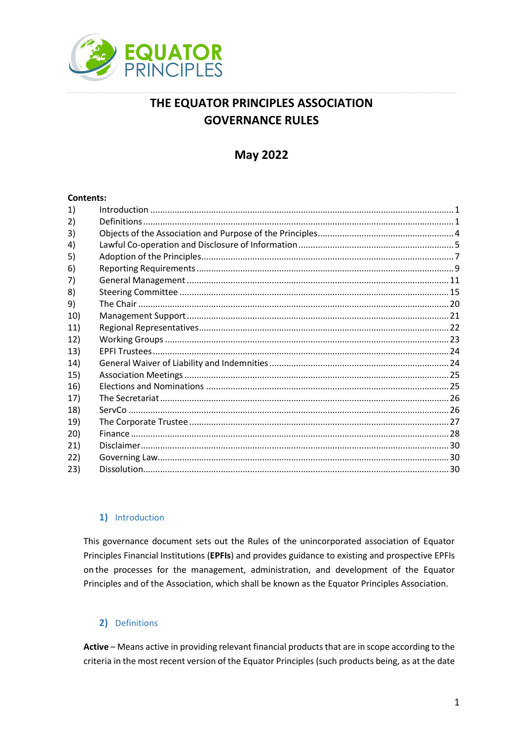

# THE EQUATOR PRINCIPLES ASSOCIATION **GOVERNANCE RULES**

## **May 2022**

#### **Contents:**

## 1) Introduction

<span id="page-0-0"></span>This governance document sets out the Rules of the unincorporated association of Equator Principles Financial Institutions (EPFIs) and provides guidance to existing and prospective EPFIs on the processes for the management, administration, and development of the Equator Principles and of the Association, which shall be known as the Equator Principles Association.

## 2) Definitions

<span id="page-0-1"></span>Active - Means active in providing relevant financial products that are in scope according to the criteria in the most recent version of the Equator Principles (such products being, as at the date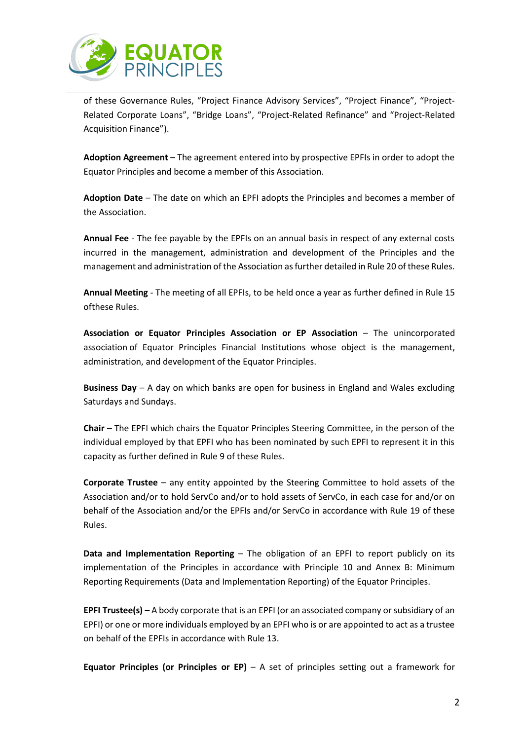

of these Governance Rules, "Project Finance Advisory Services", "Project Finance", "Project-Related Corporate Loans", "Bridge Loans", "Project-Related Refinance" and "Project-Related Acquisition Finance").

**Adoption Agreement** – The agreement entered into by prospective EPFIs in order to adopt the Equator Principles and become a member of this Association.

**Adoption Date** – The date on which an EPFI adopts the Principles and becomes a member of the Association.

**Annual Fee** - The fee payable by the EPFIs on an annual basis in respect of any external costs incurred in the management, administration and development of the Principles and the management and administration of the Association asfurther detailed in Rule 20 of these Rules.

**Annual Meeting** - The meeting of all EPFIs, to be held once a year as further defined in Rule 15 ofthese Rules.

**Association or Equator Principles Association or EP Association** – The unincorporated association of Equator Principles Financial Institutions whose object is the management, administration, and development of the Equator Principles.

**Business Day** – A day on which banks are open for business in England and Wales excluding Saturdays and Sundays.

**Chair** – The EPFI which chairs the Equator Principles Steering Committee, in the person of the individual employed by that EPFI who has been nominated by such EPFI to represent it in this capacity as further defined in Rule 9 of these Rules.

**Corporate Trustee** – any entity appointed by the Steering Committee to hold assets of the Association and/or to hold ServCo and/or to hold assets of ServCo, in each case for and/or on behalf of the Association and/or the EPFIs and/or ServCo in accordance with Rule 19 of these Rules.

**Data and Implementation Reporting** – The obligation of an EPFI to report publicly on its implementation of the Principles in accordance with Principle 10 and Annex B: Minimum Reporting Requirements (Data and Implementation Reporting) of the Equator Principles.

**EPFI Trustee(s) –** A body corporate that is an EPFI (or an associated company or subsidiary of an EPFI) or one or more individuals employed by an EPFI who is or are appointed to act as a trustee on behalf of the EPFIs in accordance with Rule 13.

**Equator Principles (or Principles or EP)** – A set of principles setting out a framework for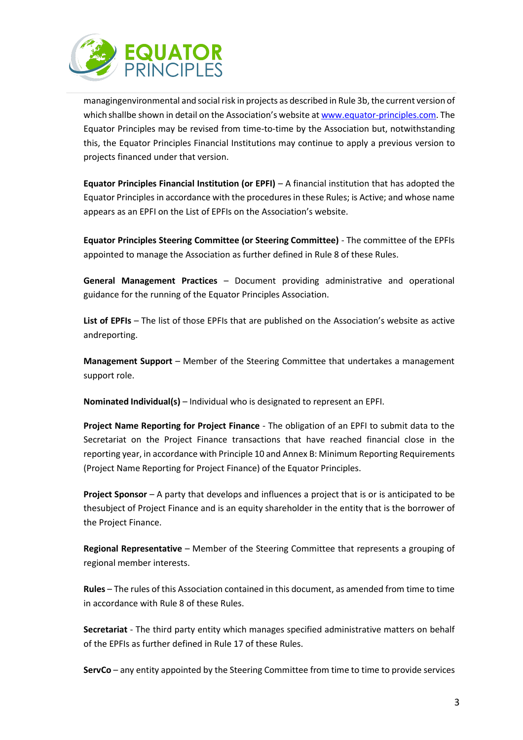

managingenvironmental and social risk in projects as described in Rule 3b, the current version of which shallbe shown in detail on the Association's website at [www.equator-principles.com.](http://www.equator-principles.com/) The Equator Principles may be revised from time-to-time by the Association but, notwithstanding this, the Equator Principles Financial Institutions may continue to apply a previous version to projects financed under that version.

**Equator Principles Financial Institution (or EPFI)** – A financial institution that has adopted the Equator Principles in accordance with the procedures in these Rules; is Active; and whose name appears as an EPFI on the List of EPFIs on the Association's website.

**Equator Principles Steering Committee (or Steering Committee)** - The committee of the EPFIs appointed to manage the Association as further defined in Rule 8 of these Rules.

**General Management Practices** – Document providing administrative and operational guidance for the running of the Equator Principles Association.

**List of EPFIs** – The list of those EPFIs that are published on the Association's website as active andreporting.

**Management Support** – Member of the Steering Committee that undertakes a management support role.

**Nominated Individual(s)** – Individual who is designated to represent an EPFI.

**Project Name Reporting for Project Finance** - The obligation of an EPFI to submit data to the Secretariat on the Project Finance transactions that have reached financial close in the reporting year, in accordance with Principle 10 and Annex B: Minimum Reporting Requirements (Project Name Reporting for Project Finance) of the Equator Principles.

**Project Sponsor** – A party that develops and influences a project that is or is anticipated to be thesubject of Project Finance and is an equity shareholder in the entity that is the borrower of the Project Finance.

**Regional Representative** – Member of the Steering Committee that represents a grouping of regional member interests.

**Rules** – The rules of this Association contained in this document, as amended from time to time in accordance with Rule 8 of these Rules.

**Secretariat** - The third party entity which manages specified administrative matters on behalf of the EPFIs as further defined in Rule 17 of these Rules.

**ServCo** – any entity appointed by the Steering Committee from time to time to provide services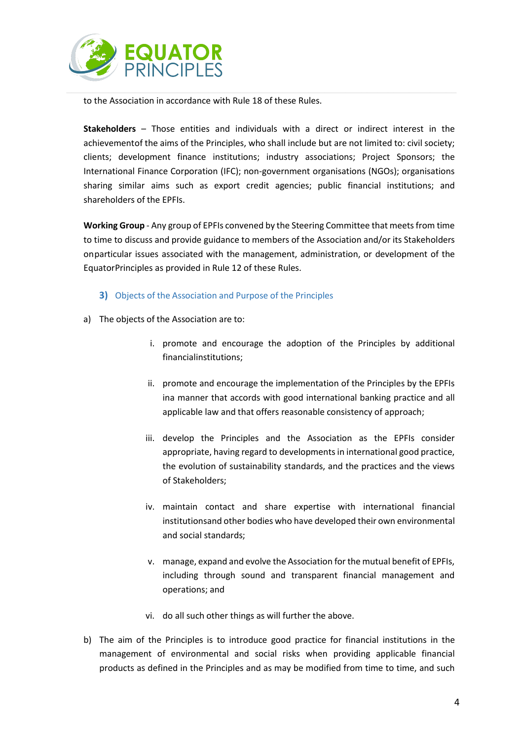

to the Association in accordance with Rule 18 of these Rules.

**Stakeholders** – Those entities and individuals with a direct or indirect interest in the achievementof the aims of the Principles, who shall include but are not limited to: civil society; clients; development finance institutions; industry associations; Project Sponsors; the International Finance Corporation (IFC); non-government organisations (NGOs); organisations sharing similar aims such as export credit agencies; public financial institutions; and shareholders of the EPFIs.

**Working Group** - Any group of EPFIs convened by the Steering Committee that meets from time to time to discuss and provide guidance to members of the Association and/or its Stakeholders onparticular issues associated with the management, administration, or development of the EquatorPrinciples as provided in Rule 12 of these Rules.

## **3)** Objects of the Association and Purpose of the Principles

- <span id="page-3-0"></span>a) The objects of the Association are to:
	- i. promote and encourage the adoption of the Principles by additional financialinstitutions;
	- ii. promote and encourage the implementation of the Principles by the EPFIs ina manner that accords with good international banking practice and all applicable law and that offers reasonable consistency of approach;
	- iii. develop the Principles and the Association as the EPFIs consider appropriate, having regard to developments in international good practice, the evolution of sustainability standards, and the practices and the views of Stakeholders;
	- iv. maintain contact and share expertise with international financial institutionsand other bodies who have developed their own environmental and social standards;
	- v. manage, expand and evolve the Association for the mutual benefit of EPFIs, including through sound and transparent financial management and operations; and
	- vi. do all such other things as will further the above.
- b) The aim of the Principles is to introduce good practice for financial institutions in the management of environmental and social risks when providing applicable financial products as defined in the Principles and as may be modified from time to time, and such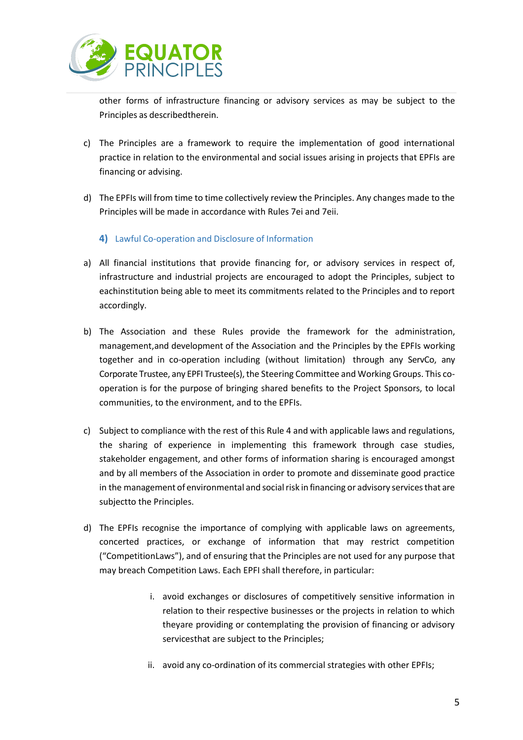

other forms of infrastructure financing or advisory services as may be subject to the Principles as describedtherein.

- c) The Principles are a framework to require the implementation of good international practice in relation to the environmental and social issues arising in projects that EPFIs are financing or advising.
- d) The EPFIs will from time to time collectively review the Principles. Any changes made to the Principles will be made in accordance with Rules 7ei and 7eii.
	- **4)** Lawful Co-operation and Disclosure of Information
- <span id="page-4-0"></span>a) All financial institutions that provide financing for, or advisory services in respect of, infrastructure and industrial projects are encouraged to adopt the Principles, subject to eachinstitution being able to meet its commitments related to the Principles and to report accordingly.
- b) The Association and these Rules provide the framework for the administration, management,and development of the Association and the Principles by the EPFIs working together and in co-operation including (without limitation) through any ServCo, any Corporate Trustee, any EPFI Trustee(s), the Steering Committee and Working Groups. This cooperation is for the purpose of bringing shared benefits to the Project Sponsors, to local communities, to the environment, and to the EPFIs.
- c) Subject to compliance with the rest of this Rule 4 and with applicable laws and regulations, the sharing of experience in implementing this framework through case studies, stakeholder engagement, and other forms of information sharing is encouraged amongst and by all members of the Association in order to promote and disseminate good practice in the management of environmental and social risk in financing or advisory services that are subjectto the Principles.
- d) The EPFIs recognise the importance of complying with applicable laws on agreements, concerted practices, or exchange of information that may restrict competition ("CompetitionLaws"), and of ensuring that the Principles are not used for any purpose that may breach Competition Laws. Each EPFI shall therefore, in particular:
	- i. avoid exchanges or disclosures of competitively sensitive information in relation to their respective businesses or the projects in relation to which theyare providing or contemplating the provision of financing or advisory servicesthat are subject to the Principles;
	- ii. avoid any co-ordination of its commercial strategies with other EPFIs;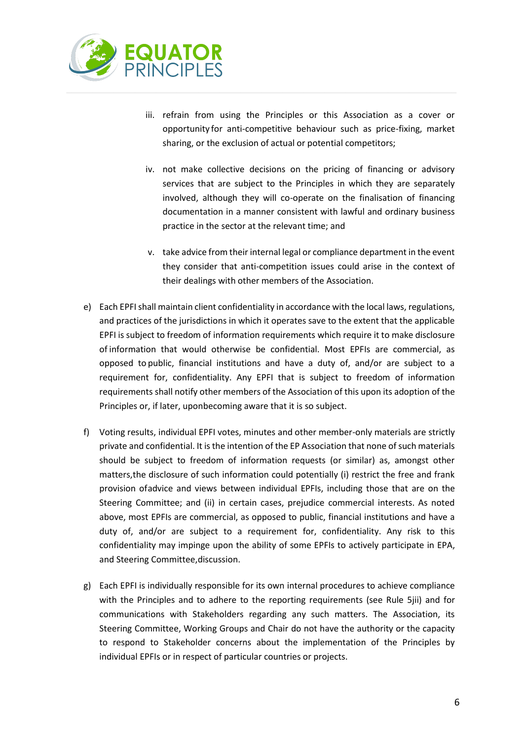

- iii. refrain from using the Principles or this Association as a cover or opportunity for anti-competitive behaviour such as price-fixing, market sharing, or the exclusion of actual or potential competitors;
- iv. not make collective decisions on the pricing of financing or advisory services that are subject to the Principles in which they are separately involved, although they will co-operate on the finalisation of financing documentation in a manner consistent with lawful and ordinary business practice in the sector at the relevant time; and
- v. take advice from their internal legal or compliance department in the event they consider that anti-competition issues could arise in the context of their dealings with other members of the Association.
- e) Each EPFI shall maintain client confidentiality in accordance with the local laws, regulations, and practices of the jurisdictions in which it operates save to the extent that the applicable EPFI is subject to freedom of information requirements which require it to make disclosure of information that would otherwise be confidential. Most EPFIs are commercial, as opposed to public, financial institutions and have a duty of, and/or are subject to a requirement for, confidentiality. Any EPFI that is subject to freedom of information requirements shall notify other members of the Association of this upon its adoption of the Principles or, if later, uponbecoming aware that it is so subject.
- f) Voting results, individual EPFI votes, minutes and other member-only materials are strictly private and confidential. It is the intention of the EP Association that none of such materials should be subject to freedom of information requests (or similar) as, amongst other matters,the disclosure of such information could potentially (i) restrict the free and frank provision ofadvice and views between individual EPFIs, including those that are on the Steering Committee; and (ii) in certain cases, prejudice commercial interests. As noted above, most EPFIs are commercial, as opposed to public, financial institutions and have a duty of, and/or are subject to a requirement for, confidentiality. Any risk to this confidentiality may impinge upon the ability of some EPFIs to actively participate in EPA, and Steering Committee,discussion.
- g) Each EPFI is individually responsible for its own internal procedures to achieve compliance with the Principles and to adhere to the reporting requirements (see Rule 5jii) and for communications with Stakeholders regarding any such matters. The Association, its Steering Committee, Working Groups and Chair do not have the authority or the capacity to respond to Stakeholder concerns about the implementation of the Principles by individual EPFIs or in respect of particular countries or projects.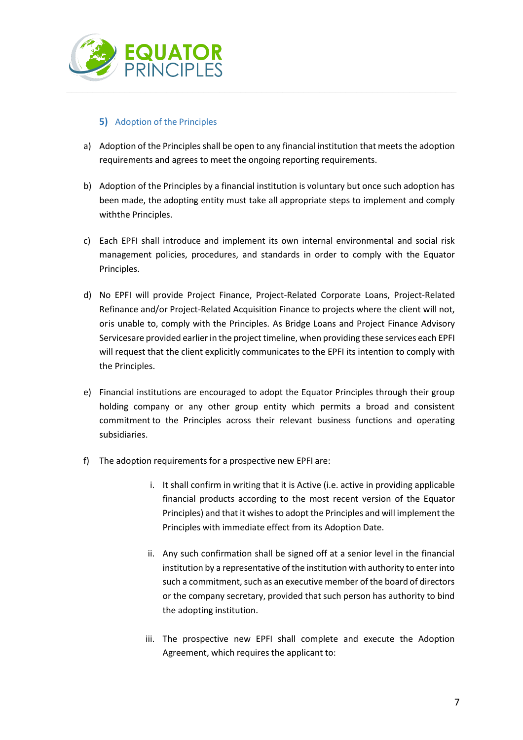

## <span id="page-6-0"></span>**5)** Adoption of the Principles

- a) Adoption of the Principles shall be open to any financial institution that meets the adoption requirements and agrees to meet the ongoing reporting requirements.
- b) Adoption of the Principles by a financial institution is voluntary but once such adoption has been made, the adopting entity must take all appropriate steps to implement and comply withthe Principles.
- c) Each EPFI shall introduce and implement its own internal environmental and social risk management policies, procedures, and standards in order to comply with the Equator Principles.
- d) No EPFI will provide Project Finance, Project-Related Corporate Loans, Project-Related Refinance and/or Project-Related Acquisition Finance to projects where the client will not, oris unable to, comply with the Principles. As Bridge Loans and Project Finance Advisory Servicesare provided earlier in the project timeline, when providing these services each EPFI will request that the client explicitly communicates to the EPFI its intention to comply with the Principles.
- e) Financial institutions are encouraged to adopt the Equator Principles through their group holding company or any other group entity which permits a broad and consistent commitment to the Principles across their relevant business functions and operating subsidiaries.
- f) The adoption requirements for a prospective new EPFI are:
	- i. It shall confirm in writing that it is Active (i.e. active in providing applicable financial products according to the most recent version of the Equator Principles) and that it wishes to adopt the Principles and will implement the Principles with immediate effect from its Adoption Date.
	- ii. Any such confirmation shall be signed off at a senior level in the financial institution by a representative of the institution with authority to enter into such a commitment, such as an executive member of the board of directors or the company secretary, provided that such person has authority to bind the adopting institution.
	- iii. The prospective new EPFI shall complete and execute the Adoption Agreement, which requires the applicant to: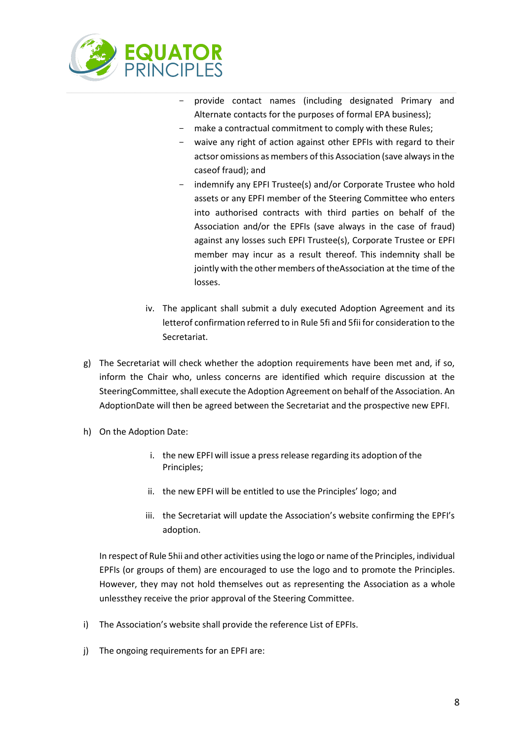

- provide contact names (including designated Primary and Alternate contacts for the purposes of formal EPA business);
- make a contractual commitment to comply with these Rules;
- waive any right of action against other EPFIs with regard to their actsor omissions as members of this Association (save always in the caseof fraud); and
- indemnify any EPFI Trustee(s) and/or Corporate Trustee who hold assets or any EPFI member of the Steering Committee who enters into authorised contracts with third parties on behalf of the Association and/or the EPFIs (save always in the case of fraud) against any losses such EPFI Trustee(s), Corporate Trustee or EPFI member may incur as a result thereof. This indemnity shall be jointly with the other members of theAssociation at the time of the losses.
- iv. The applicant shall submit a duly executed Adoption Agreement and its letterof confirmation referred to in Rule 5fi and 5fii for consideration to the Secretariat.
- g) The Secretariat will check whether the adoption requirements have been met and, if so, inform the Chair who, unless concerns are identified which require discussion at the SteeringCommittee, shall execute the Adoption Agreement on behalf of the Association. An AdoptionDate will then be agreed between the Secretariat and the prospective new EPFI.
- h) On the Adoption Date:
	- i. the new EPFI will issue a press release regarding its adoption of the Principles;
	- ii. the new EPFI will be entitled to use the Principles' logo; and
	- iii. the Secretariat will update the Association's website confirming the EPFI's adoption.

In respect of Rule 5hii and other activities using the logo or name of the Principles, individual EPFIs (or groups of them) are encouraged to use the logo and to promote the Principles. However, they may not hold themselves out as representing the Association as a whole unlessthey receive the prior approval of the Steering Committee.

- i) The Association's website shall provide the reference List of EPFIs.
- j) The ongoing requirements for an EPFI are: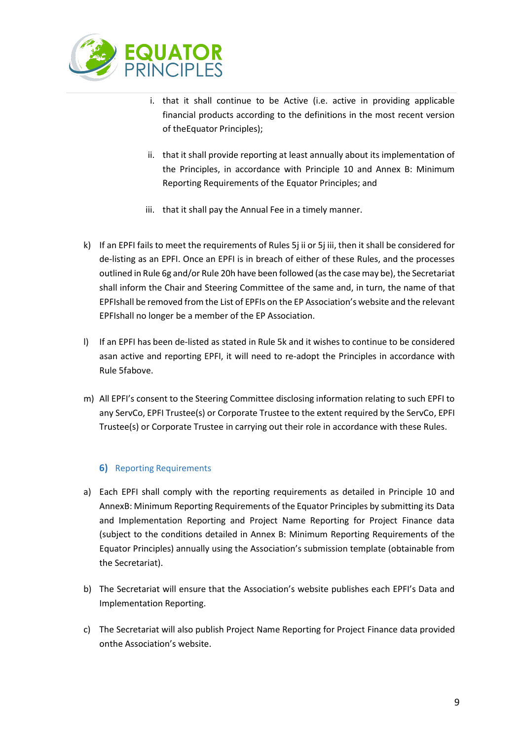

- i. that it shall continue to be Active (i.e. active in providing applicable financial products according to the definitions in the most recent version of theEquator Principles);
- ii. that it shall provide reporting at least annually about its implementation of the Principles, in accordance with Principle 10 and Annex B: Minimum Reporting Requirements of the Equator Principles; and
- iii. that it shall pay the Annual Fee in a timely manner.
- k) If an EPFI fails to meet the requirements of Rules 5j ii or 5j iii, then it shall be considered for de-listing as an EPFI. Once an EPFI is in breach of either of these Rules, and the processes outlined in Rule 6g and/or Rule 20h have been followed (as the case may be), the Secretariat shall inform the Chair and Steering Committee of the same and, in turn, the name of that EPFIshall be removed from the List of EPFIs on the EP Association's website and the relevant EPFIshall no longer be a member of the EP Association.
- l) If an EPFI has been de-listed as stated in Rule 5k and it wishes to continue to be considered asan active and reporting EPFI, it will need to re-adopt the Principles in accordance with Rule 5fabove.
- m) All EPFI's consent to the Steering Committee disclosing information relating to such EPFI to any ServCo, EPFI Trustee(s) or Corporate Trustee to the extent required by the ServCo, EPFI Trustee(s) or Corporate Trustee in carrying out their role in accordance with these Rules.

## **6)** Reporting Requirements

- <span id="page-8-0"></span>a) Each EPFI shall comply with the reporting requirements as detailed in Principle 10 and AnnexB: Minimum Reporting Requirements of the Equator Principles by submitting its Data and Implementation Reporting and Project Name Reporting for Project Finance data (subject to the conditions detailed in Annex B: Minimum Reporting Requirements of the Equator Principles) annually using the Association's submission template (obtainable from the Secretariat).
- b) The Secretariat will ensure that the Association's website publishes each EPFI's Data and Implementation Reporting.
- c) The Secretariat will also publish Project Name Reporting for Project Finance data provided onthe Association's website.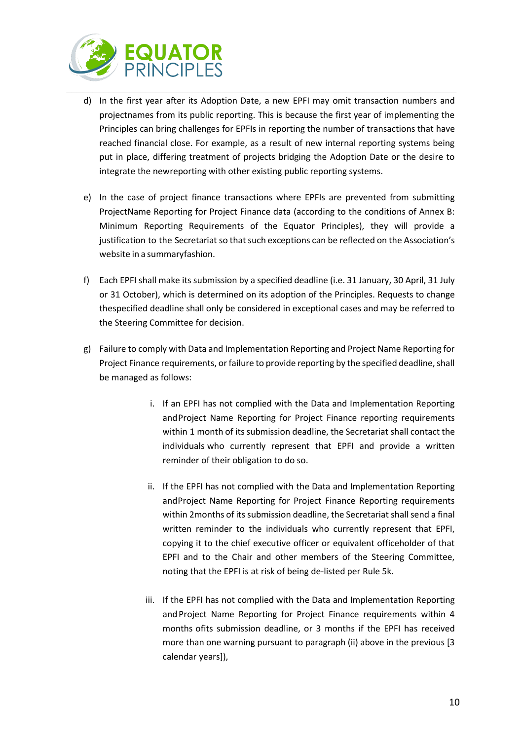

- d) In the first year after its Adoption Date, a new EPFI may omit transaction numbers and projectnames from its public reporting. This is because the first year of implementing the Principles can bring challenges for EPFIs in reporting the number of transactions that have reached financial close. For example, as a result of new internal reporting systems being put in place, differing treatment of projects bridging the Adoption Date or the desire to integrate the newreporting with other existing public reporting systems.
- e) In the case of project finance transactions where EPFIs are prevented from submitting ProjectName Reporting for Project Finance data (according to the conditions of Annex B: Minimum Reporting Requirements of the Equator Principles), they will provide a justification to the Secretariat so that such exceptions can be reflected on the Association's website in a summaryfashion.
- f) Each EPFI shall make its submission by a specified deadline (i.e. 31 January, 30 April, 31 July or 31 October), which is determined on its adoption of the Principles. Requests to change thespecified deadline shall only be considered in exceptional cases and may be referred to the Steering Committee for decision.
- g) Failure to comply with Data and Implementation Reporting and Project Name Reporting for Project Finance requirements, or failure to provide reporting by the specified deadline, shall be managed as follows:
	- i. If an EPFI has not complied with the Data and Implementation Reporting andProject Name Reporting for Project Finance reporting requirements within 1 month of its submission deadline, the Secretariat shall contact the individuals who currently represent that EPFI and provide a written reminder of their obligation to do so.
	- ii. If the EPFI has not complied with the Data and Implementation Reporting andProject Name Reporting for Project Finance Reporting requirements within 2months of its submission deadline, the Secretariat shall send a final written reminder to the individuals who currently represent that EPFI, copying it to the chief executive officer or equivalent officeholder of that EPFI and to the Chair and other members of the Steering Committee, noting that the EPFI is at risk of being de-listed per Rule 5k.
	- iii. If the EPFI has not complied with the Data and Implementation Reporting and Project Name Reporting for Project Finance requirements within 4 months ofits submission deadline, or 3 months if the EPFI has received more than one warning pursuant to paragraph (ii) above in the previous [3 calendar years]),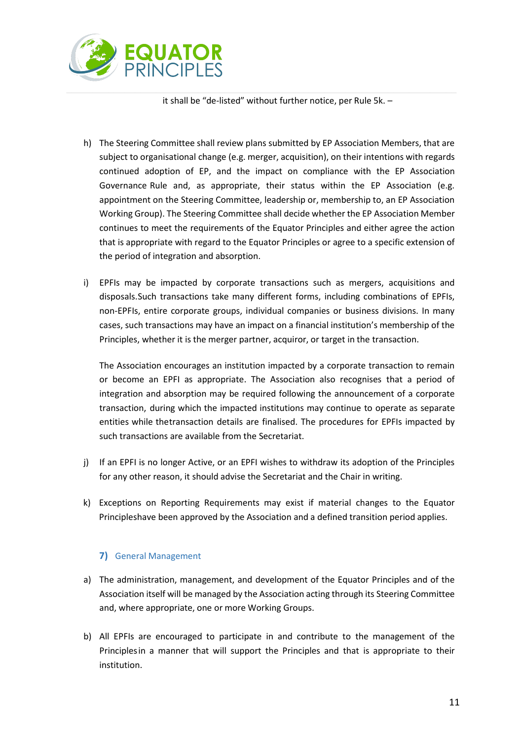

it shall be "de-listed" without further notice, per Rule 5k. –

- h) The Steering Committee shall review plans submitted by EP Association Members, that are subject to organisational change (e.g. merger, acquisition), on their intentions with regards continued adoption of EP, and the impact on compliance with the EP Association Governance Rule and, as appropriate, their status within the EP Association (e.g. appointment on the Steering Committee, leadership or, membership to, an EP Association Working Group). The Steering Committee shall decide whether the EP Association Member continues to meet the requirements of the Equator Principles and either agree the action that is appropriate with regard to the Equator Principles or agree to a specific extension of the period of integration and absorption.
- i) EPFIs may be impacted by corporate transactions such as mergers, acquisitions and disposals.Such transactions take many different forms, including combinations of EPFIs, non-EPFIs, entire corporate groups, individual companies or business divisions. In many cases, such transactions may have an impact on a financial institution's membership of the Principles, whether it is the merger partner, acquiror, or target in the transaction.

The Association encourages an institution impacted by a corporate transaction to remain or become an EPFI as appropriate. The Association also recognises that a period of integration and absorption may be required following the announcement of a corporate transaction, during which the impacted institutions may continue to operate as separate entities while thetransaction details are finalised. The procedures for EPFIs impacted by such transactions are available from the Secretariat.

- j) If an EPFI is no longer Active, or an EPFI wishes to withdraw its adoption of the Principles for any other reason, it should advise the Secretariat and the Chair in writing.
- k) Exceptions on Reporting Requirements may exist if material changes to the Equator Principleshave been approved by the Association and a defined transition period applies.

## **7)** General Management

- <span id="page-10-0"></span>a) The administration, management, and development of the Equator Principles and of the Association itself will be managed by the Association acting through its Steering Committee and, where appropriate, one or more Working Groups.
- b) All EPFIs are encouraged to participate in and contribute to the management of the Principlesin a manner that will support the Principles and that is appropriate to their institution.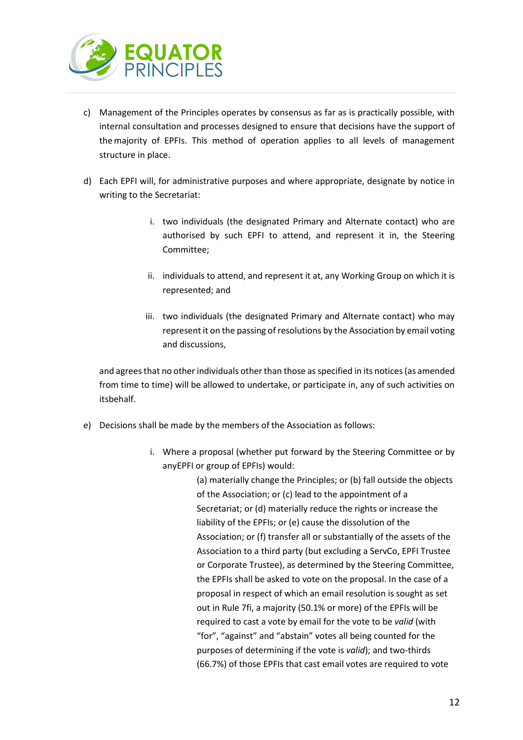

- c) Management of the Principles operates by consensus as far as is practically possible, with internal consultation and processes designed to ensure that decisions have the support of themajority of EPFIs. This method of operation applies to all levels of management structure in place.
- d) Each EPFI will, for administrative purposes and where appropriate, designate by notice in writing to the Secretariat:
	- i. two individuals (the designated Primary and Alternate contact) who are authorised by such EPFI to attend, and represent it in, the Steering Committee;
	- ii. individuals to attend, and represent it at, any Working Group on which it is represented; and
	- iii. two individuals (the designated Primary and Alternate contact) who may represent it on the passing of resolutions by the Association by email voting and discussions,

and agrees that no other individuals other than those as specified in its notices (as amended from time to time) will be allowed to undertake, or participate in, any of such activities on itsbehalf.

- e) Decisions shall be made by the members of the Association as follows:
	- i. Where a proposal (whether put forward by the Steering Committee or by anyEPFI or group of EPFIs) would:

(a) materially change the Principles; or (b) fall outside the objects of the Association; or (c) lead to the appointment of a Secretariat; or (d) materially reduce the rights or increase the liability of the EPFIs; or (e) cause the dissolution of the Association; or (f) transfer all or substantially of the assets of the Association to a third party (but excluding a ServCo, EPFI Trustee or Corporate Trustee), as determined by the Steering Committee, the EPFIs shall be asked to vote on the proposal. In the case of a proposal in respect of which an email resolution is sought as set out in Rule 7fi, a majority (50.1% or more) of the EPFIs will be required to cast a vote by email for the vote to be *valid* (with "for", "against" and "abstain" votes all being counted for the purposes of determining if the vote is *valid*); and two-thirds (66.7%) of those EPFIs that cast email votes are required to vote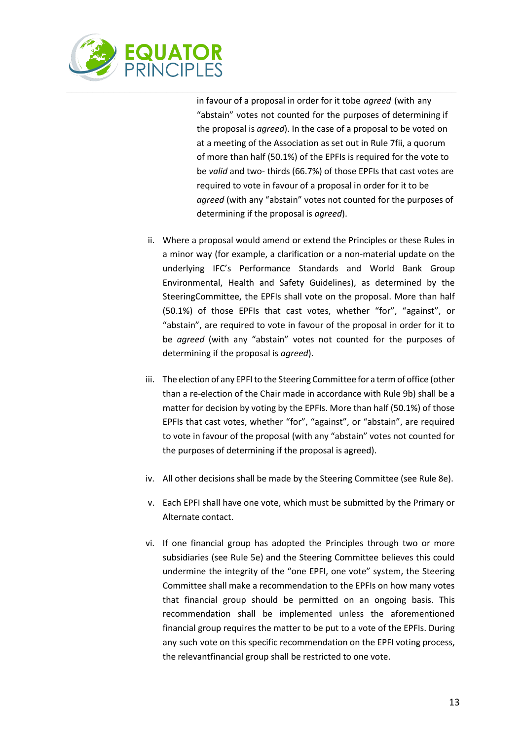

in favour of a proposal in order for it tobe *agreed* (with any "abstain" votes not counted for the purposes of determining if the proposal is *agreed*). In the case of a proposal to be voted on at a meeting of the Association as set out in Rule 7fii, a quorum of more than half (50.1%) of the EPFIs is required for the vote to be *valid* and two- thirds (66.7%) of those EPFIs that cast votes are required to vote in favour of a proposal in order for it to be *agreed* (with any "abstain" votes not counted for the purposes of determining if the proposal is *agreed*).

- ii. Where a proposal would amend or extend the Principles or these Rules in a minor way (for example, a clarification or a non-material update on the underlying IFC's Performance Standards and World Bank Group Environmental, Health and Safety Guidelines), as determined by the SteeringCommittee, the EPFIs shall vote on the proposal. More than half (50.1%) of those EPFIs that cast votes, whether "for", "against", or "abstain", are required to vote in favour of the proposal in order for it to be *agreed* (with any "abstain" votes not counted for the purposes of determining if the proposal is *agreed*).
- iii. The election of any EPFI to the Steering Committee for a term of office (other than a re-election of the Chair made in accordance with Rule 9b) shall be a matter for decision by voting by the EPFIs. More than half (50.1%) of those EPFIs that cast votes, whether "for", "against", or "abstain", are required to vote in favour of the proposal (with any "abstain" votes not counted for the purposes of determining if the proposal is agreed).
- iv. All other decisions shall be made by the Steering Committee (see Rule 8e).
- v. Each EPFI shall have one vote, which must be submitted by the Primary or Alternate contact.
- vi. If one financial group has adopted the Principles through two or more subsidiaries (see Rule 5e) and the Steering Committee believes this could undermine the integrity of the "one EPFI, one vote" system, the Steering Committee shall make a recommendation to the EPFIs on how many votes that financial group should be permitted on an ongoing basis. This recommendation shall be implemented unless the aforementioned financial group requires the matter to be put to a vote of the EPFIs. During any such vote on this specific recommendation on the EPFI voting process, the relevantfinancial group shall be restricted to one vote.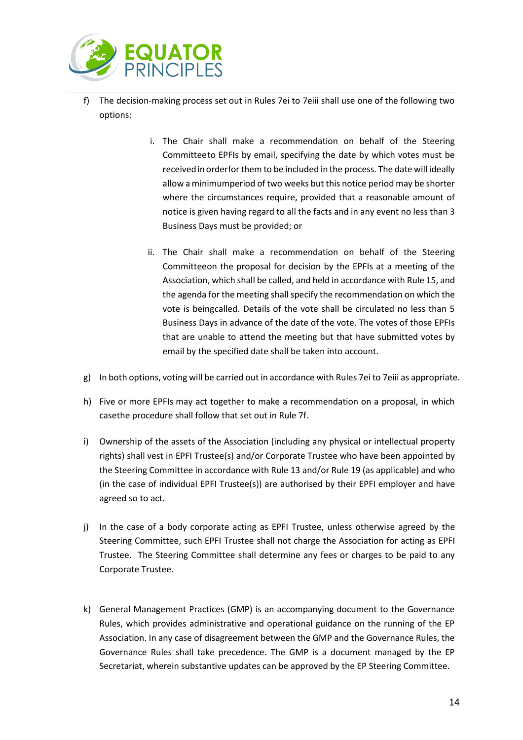

- f) The decision-making process set out in Rules 7ei to 7eiii shall use one of the following two options:
	- i. The Chair shall make a recommendation on behalf of the Steering Committeeto EPFIs by email, specifying the date by which votes must be received in orderfor them to be included in the process. The date will ideally allow a minimumperiod of two weeks but this notice period may be shorter where the circumstances require, provided that a reasonable amount of notice is given having regard to all the facts and in any event no less than 3 Business Days must be provided; or
	- ii. The Chair shall make a recommendation on behalf of the Steering Committeeon the proposal for decision by the EPFIs at a meeting of the Association, which shall be called, and held in accordance with Rule 15, and the agenda for the meeting shall specify the recommendation on which the vote is beingcalled. Details of the vote shall be circulated no less than 5 Business Days in advance of the date of the vote. The votes of those EPFIs that are unable to attend the meeting but that have submitted votes by email by the specified date shall be taken into account.
- g) In both options, voting will be carried out in accordance with Rules 7ei to 7eiii as appropriate.
- h) Five or more EPFIs may act together to make a recommendation on a proposal, in which casethe procedure shall follow that set out in Rule 7f.
- i) Ownership of the assets of the Association (including any physical or intellectual property rights) shall vest in EPFI Trustee(s) and/or Corporate Trustee who have been appointed by the Steering Committee in accordance with Rule 13 and/or Rule 19 (as applicable) and who (in the case of individual EPFI Trustee(s)) are authorised by their EPFI employer and have agreed so to act.
- j) In the case of a body corporate acting as EPFI Trustee, unless otherwise agreed by the Steering Committee, such EPFI Trustee shall not charge the Association for acting as EPFI Trustee. The Steering Committee shall determine any fees or charges to be paid to any Corporate Trustee.
- k) General Management Practices (GMP) is an accompanying document to the Governance Rules, which provides administrative and operational guidance on the running of the EP Association. In any case of disagreement between the GMP and the Governance Rules, the Governance Rules shall take precedence. The GMP is a document managed by the EP Secretariat, wherein substantive updates can be approved by the EP Steering Committee.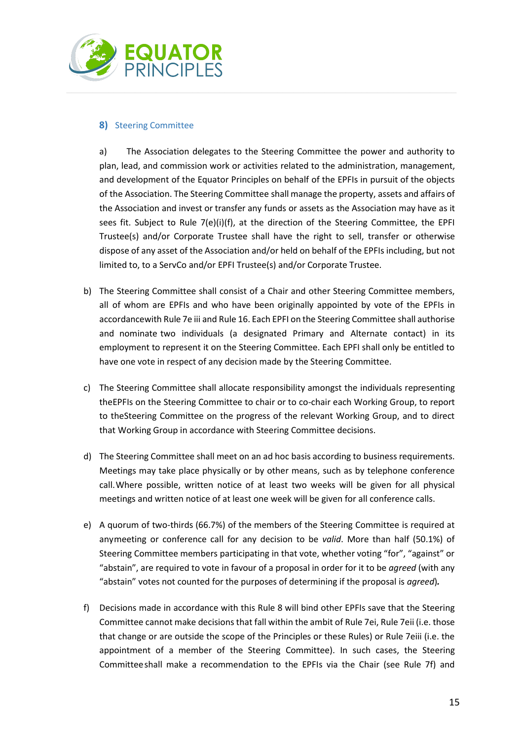

## <span id="page-14-0"></span>**8)** Steering Committee

a) The Association delegates to the Steering Committee the power and authority to plan, lead, and commission work or activities related to the administration, management, and development of the Equator Principles on behalf of the EPFIs in pursuit of the objects of the Association. The Steering Committee shall manage the property, assets and affairs of the Association and invest or transfer any funds or assets as the Association may have as it sees fit. Subject to Rule  $7(e)(i)(f)$ , at the direction of the Steering Committee, the EPFI Trustee(s) and/or Corporate Trustee shall have the right to sell, transfer or otherwise dispose of any asset of the Association and/or held on behalf of the EPFIs including, but not limited to, to a ServCo and/or EPFI Trustee(s) and/or Corporate Trustee.

- b) The Steering Committee shall consist of a Chair and other Steering Committee members, all of whom are EPFIs and who have been originally appointed by vote of the EPFIs in accordancewith Rule 7e iii and Rule 16. Each EPFI on the Steering Committee shall authorise and nominate two individuals (a designated Primary and Alternate contact) in its employment to represent it on the Steering Committee. Each EPFI shall only be entitled to have one vote in respect of any decision made by the Steering Committee.
- c) The Steering Committee shall allocate responsibility amongst the individuals representing theEPFIs on the Steering Committee to chair or to co-chair each Working Group, to report to theSteering Committee on the progress of the relevant Working Group, and to direct that Working Group in accordance with Steering Committee decisions.
- d) The Steering Committee shall meet on an ad hoc basis according to business requirements. Meetings may take place physically or by other means, such as by telephone conference call.Where possible, written notice of at least two weeks will be given for all physical meetings and written notice of at least one week will be given for all conference calls.
- e) A quorum of two-thirds (66.7%) of the members of the Steering Committee is required at anymeeting or conference call for any decision to be *valid*. More than half (50.1%) of Steering Committee members participating in that vote, whether voting "for", "against" or "abstain", are required to vote in favour of a proposal in order for it to be *agreed* (with any "abstain" votes not counted for the purposes of determining if the proposal is *agreed*)*.*
- f) Decisions made in accordance with this Rule 8 will bind other EPFIs save that the Steering Committee cannot make decisions that fall within the ambit of Rule 7ei, Rule 7eii (i.e. those that change or are outside the scope of the Principles or these Rules) or Rule 7eiii (i.e. the appointment of a member of the Steering Committee). In such cases, the Steering Committeeshall make a recommendation to the EPFIs via the Chair (see Rule 7f) and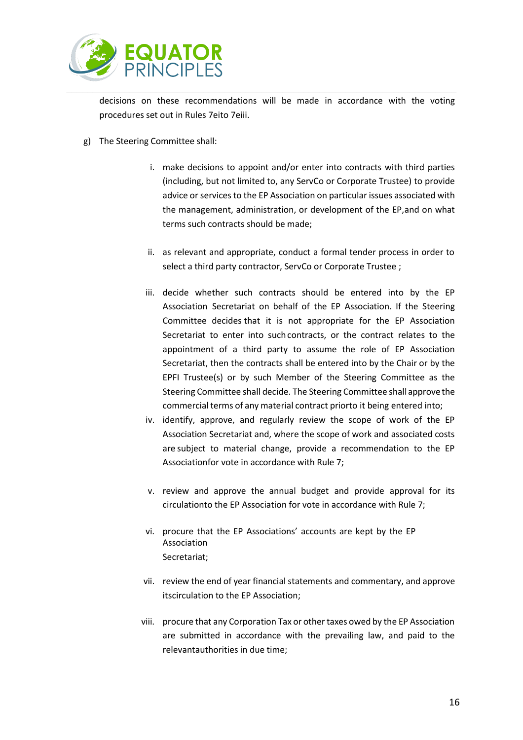

decisions on these recommendations will be made in accordance with the voting procedures set out in Rules 7eito 7eiii.

- g) The Steering Committee shall:
	- i. make decisions to appoint and/or enter into contracts with third parties (including, but not limited to, any ServCo or Corporate Trustee) to provide advice or services to the EP Association on particular issues associated with the management, administration, or development of the EP,and on what terms such contracts should be made;
	- ii. as relevant and appropriate, conduct a formal tender process in order to select a third party contractor, ServCo or Corporate Trustee ;
	- iii. decide whether such contracts should be entered into by the EP Association Secretariat on behalf of the EP Association. If the Steering Committee decides that it is not appropriate for the EP Association Secretariat to enter into such contracts, or the contract relates to the appointment of a third party to assume the role of EP Association Secretariat, then the contracts shall be entered into by the Chair or by the EPFI Trustee(s) or by such Member of the Steering Committee as the Steering Committee shall decide. The Steering Committee shall approve the commercial terms of any material contract priorto it being entered into;
	- iv. identify, approve, and regularly review the scope of work of the EP Association Secretariat and, where the scope of work and associated costs are subject to material change, provide a recommendation to the EP Associationfor vote in accordance with Rule 7;
	- v. review and approve the annual budget and provide approval for its circulationto the EP Association for vote in accordance with Rule 7;
	- vi. procure that the EP Associations' accounts are kept by the EP Association Secretariat;
	- vii. review the end of year financial statements and commentary, and approve itscirculation to the EP Association;
	- viii. procure that any Corporation Tax or other taxes owed by the EP Association are submitted in accordance with the prevailing law, and paid to the relevantauthorities in due time;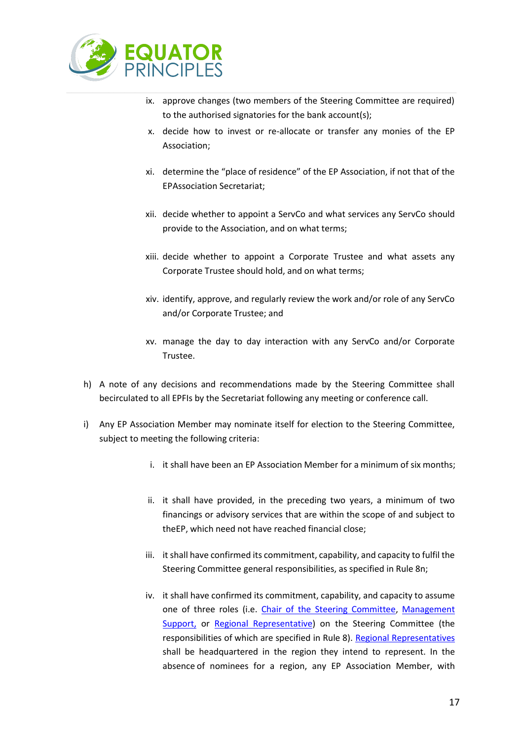

- ix. approve changes (two members of the Steering Committee are required) to the authorised signatories for the bank account(s);
- x. decide how to invest or re-allocate or transfer any monies of the EP Association;
- xi. determine the "place of residence" of the EP Association, if not that of the EPAssociation Secretariat;
- xii. decide whether to appoint a ServCo and what services any ServCo should provide to the Association, and on what terms;
- xiii. decide whether to appoint a Corporate Trustee and what assets any Corporate Trustee should hold, and on what terms;
- xiv. identify, approve, and regularly review the work and/or role of any ServCo and/or Corporate Trustee; and
- xv. manage the day to day interaction with any ServCo and/or Corporate Trustee.
- h) A note of any decisions and recommendations made by the Steering Committee shall becirculated to all EPFIs by the Secretariat following any meeting or conference call.
- i) Any EP Association Member may nominate itself for election to the Steering Committee, subject to meeting the following criteria:
	- i. it shall have been an EP Association Member for a minimum of six months;
	- ii. it shall have provided, in the preceding two years, a minimum of two financings or advisory services that are within the scope of and subject to theEP, which need not have reached financial close;
	- iii. it shall have confirmed its commitment, capability, and capacity to fulfil the Steering Committee general responsibilities, as specified in Rule 8n;
	- iv. it shall have confirmed its commitment, capability, and capacity to assume one of three roles (i.e. Chair of the Steering Committee, Management Support, or Regional Representative) on the Steering Committee (the responsibilities of which are specified in Rule 8). Regional Representatives shall be headquartered in the region they intend to represent. In the absence of nominees for a region, any EP Association Member, with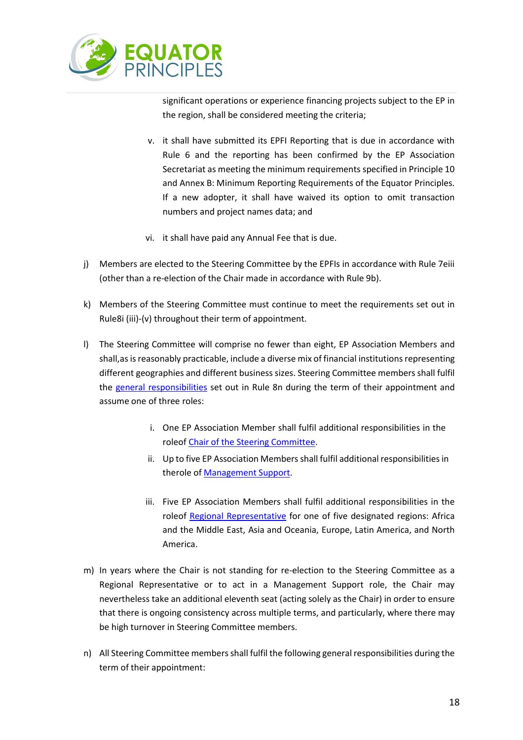

significant operations or experience financing projects subject to the EP in the region, shall be considered meeting the criteria;

- v. it shall have submitted its EPFI Reporting that is due in accordance with Rule 6 and the reporting has been confirmed by the EP Association Secretariat as meeting the minimum requirements specified in Principle 10 and Annex B: Minimum Reporting Requirements of the Equator Principles. If a new adopter, it shall have waived its option to omit transaction numbers and project names data; and
- vi. it shall have paid any Annual Fee that is due.
- j) Members are elected to the Steering Committee by the EPFIs in accordance with Rule 7eiii (other than a re-election of the Chair made in accordance with Rule 9b).
- k) Members of the Steering Committee must continue to meet the requirements set out in Rule8i (iii)-(v) throughout their term of appointment.
- l) The Steering Committee will comprise no fewer than eight, EP Association Members and shall, as is reasonably practicable, include a diverse mix of financial institutions representing different geographies and different business sizes. Steering Committee members shall fulfil the general responsibilities set out in Rule 8n during the term of their appointment and assume one of three roles:
	- i. One EP Association Member shall fulfil additional responsibilities in the roleof Chair of the Steering Committee.
	- ii. Up to five EP Association Members shall fulfil additional responsibilities in therole of Management Support.
	- iii. Five EP Association Members shall fulfil additional responsibilities in the roleof Regional Representative for one of five designated regions: Africa and the Middle East, Asia and Oceania, Europe, Latin America, and North America.
- m) In years where the Chair is not standing for re-election to the Steering Committee as a Regional Representative or to act in a Management Support role, the Chair may nevertheless take an additional eleventh seat (acting solely as the Chair) in order to ensure that there is ongoing consistency across multiple terms, and particularly, where there may be high turnover in Steering Committee members.
- n) All Steering Committee members shall fulfil the following general responsibilities during the term of their appointment: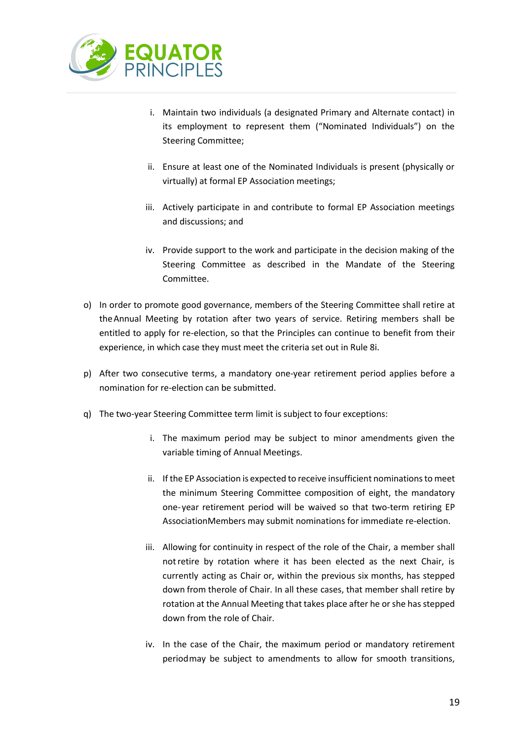

- i. Maintain two individuals (a designated Primary and Alternate contact) in its employment to represent them ("Nominated Individuals") on the Steering Committee;
- ii. Ensure at least one of the Nominated Individuals is present (physically or virtually) at formal EP Association meetings;
- iii. Actively participate in and contribute to formal EP Association meetings and discussions; and
- iv. Provide support to the work and participate in the decision making of the Steering Committee as described in the Mandate of the Steering Committee.
- o) In order to promote good governance, members of the Steering Committee shall retire at theAnnual Meeting by rotation after two years of service. Retiring members shall be entitled to apply for re-election, so that the Principles can continue to benefit from their experience, in which case they must meet the criteria set out in Rule 8i.
- p) After two consecutive terms, a mandatory one-year retirement period applies before a nomination for re-election can be submitted.
- q) The two-year Steering Committee term limit is subject to four exceptions:
	- i. The maximum period may be subject to minor amendments given the variable timing of Annual Meetings.
	- ii. If the EP Association is expected to receive insufficient nominations to meet the minimum Steering Committee composition of eight, the mandatory one-year retirement period will be waived so that two-term retiring EP AssociationMembers may submit nominations for immediate re-election.
	- iii. Allowing for continuity in respect of the role of the Chair, a member shall notretire by rotation where it has been elected as the next Chair, is currently acting as Chair or, within the previous six months, has stepped down from therole of Chair. In all these cases, that member shall retire by rotation at the Annual Meeting that takes place after he or she has stepped down from the role of Chair.
	- iv. In the case of the Chair, the maximum period or mandatory retirement periodmay be subject to amendments to allow for smooth transitions,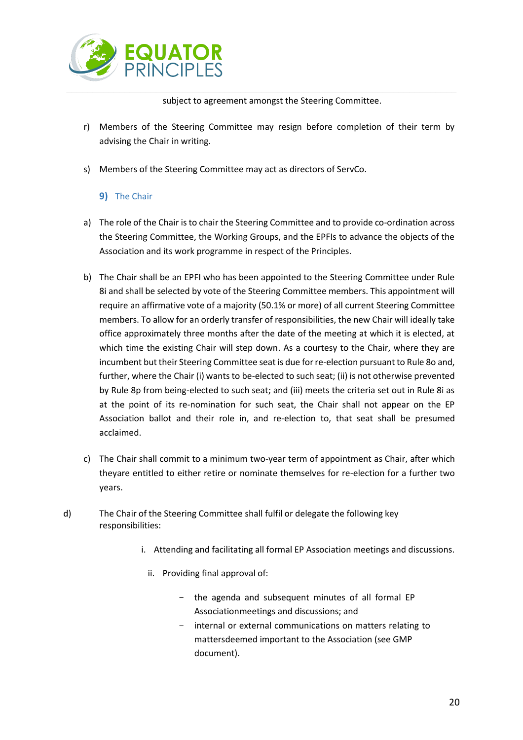

subject to agreement amongst the Steering Committee.

- r) Members of the Steering Committee may resign before completion of their term by advising the Chair in writing.
- <span id="page-19-0"></span>s) Members of the Steering Committee may act as directors of ServCo.

## **9)** The Chair

- a) The role of the Chair is to chair the Steering Committee and to provide co-ordination across the Steering Committee, the Working Groups, and the EPFIs to advance the objects of the Association and its work programme in respect of the Principles.
- b) The Chair shall be an EPFI who has been appointed to the Steering Committee under Rule 8i and shall be selected by vote of the Steering Committee members. This appointment will require an affirmative vote of a majority (50.1% or more) of all current Steering Committee members. To allow for an orderly transfer of responsibilities, the new Chair will ideally take office approximately three months after the date of the meeting at which it is elected, at which time the existing Chair will step down. As a courtesy to the Chair, where they are incumbent but their Steering Committee seat is due for re-election pursuant to Rule 8o and, further, where the Chair (i) wants to be-elected to such seat; (ii) is not otherwise prevented by Rule 8p from being-elected to such seat; and (iii) meets the criteria set out in Rule 8i as at the point of its re-nomination for such seat, the Chair shall not appear on the EP Association ballot and their role in, and re-election to, that seat shall be presumed acclaimed.
- c) The Chair shall commit to a minimum two-year term of appointment as Chair, after which theyare entitled to either retire or nominate themselves for re-election for a further two years.
- d) The Chair of the Steering Committee shall fulfil or delegate the following key responsibilities:
	- i. Attending and facilitating all formal EP Association meetings and discussions.
		- ii. Providing final approval of:
			- the agenda and subsequent minutes of all formal EP Associationmeetings and discussions; and
			- internal or external communications on matters relating to mattersdeemed important to the Association (see GMP document).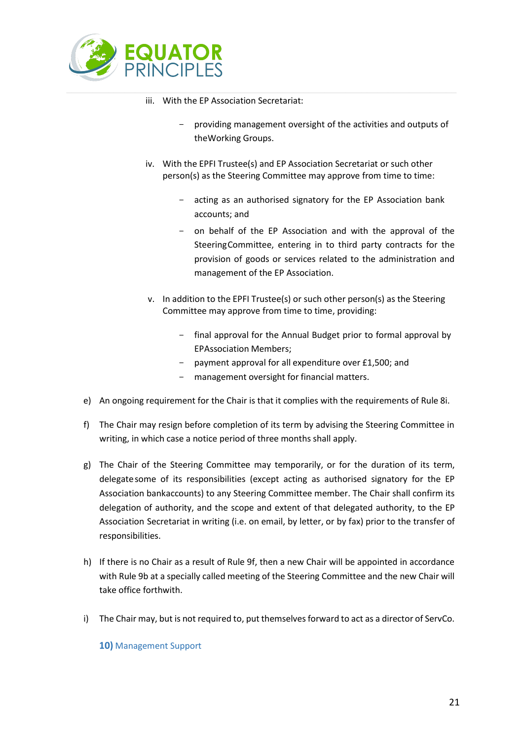

- iii. With the EP Association Secretariat:
	- providing management oversight of the activities and outputs of theWorking Groups.
- iv. With the EPFI Trustee(s) and EP Association Secretariat or such other person(s) as the Steering Committee may approve from time to time:
	- acting as an authorised signatory for the EP Association bank accounts; and
	- on behalf of the EP Association and with the approval of the SteeringCommittee, entering in to third party contracts for the provision of goods or services related to the administration and management of the EP Association.
- v. In addition to the EPFI Trustee(s) or such other person(s) as the Steering Committee may approve from time to time, providing:
	- final approval for the Annual Budget prior to formal approval by EPAssociation Members;
	- payment approval for all expenditure over £1,500; and
	- management oversight for financial matters.
- e) An ongoing requirement for the Chair is that it complies with the requirements of Rule 8i.
- f) The Chair may resign before completion of its term by advising the Steering Committee in writing, in which case a notice period of three months shall apply.
- g) The Chair of the Steering Committee may temporarily, or for the duration of its term, delegate some of its responsibilities (except acting as authorised signatory for the EP Association bankaccounts) to any Steering Committee member. The Chair shall confirm its delegation of authority, and the scope and extent of that delegated authority, to the EP Association Secretariat in writing (i.e. on email, by letter, or by fax) prior to the transfer of responsibilities.
- h) If there is no Chair as a result of Rule 9f, then a new Chair will be appointed in accordance with Rule 9b at a specially called meeting of the Steering Committee and the new Chair will take office forthwith.
- <span id="page-20-0"></span>i) The Chair may, but is not required to, put themselves forward to act as a director of ServCo.

**10)** Management Support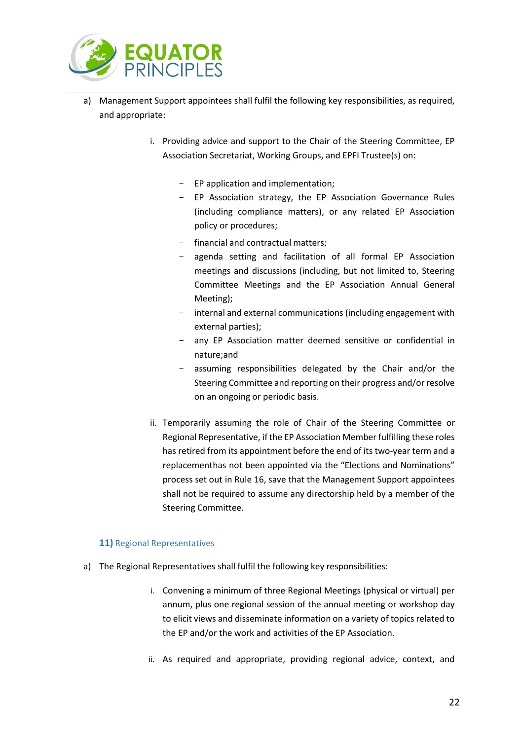

- a) Management Support appointees shall fulfil the following key responsibilities, as required, and appropriate:
	- i. Providing advice and support to the Chair of the Steering Committee, EP Association Secretariat, Working Groups, and EPFI Trustee(s) on:
		- EP application and implementation;
		- EP Association strategy, the EP Association Governance Rules (including compliance matters), or any related EP Association policy or procedures;
		- financial and contractual matters;
		- agenda setting and facilitation of all formal EP Association meetings and discussions (including, but not limited to, Steering Committee Meetings and the EP Association Annual General Meeting);
		- internal and external communications (including engagement with external parties);
		- any EP Association matter deemed sensitive or confidential in nature;and
		- assuming responsibilities delegated by the Chair and/or the Steering Committee and reporting on their progress and/or resolve on an ongoing or periodic basis.
	- ii. Temporarily assuming the role of Chair of the Steering Committee or Regional Representative, if the EP Association Member fulfilling these roles has retired from its appointment before the end of its two-year term and a replacementhas not been appointed via the "Elections and Nominations" process set out in Rule 16, save that the Management Support appointees shall not be required to assume any directorship held by a member of the Steering Committee.

## <span id="page-21-0"></span>**11)** Regional Representatives

- a) The Regional Representatives shall fulfil the following key responsibilities:
	- i. Convening a minimum of three Regional Meetings (physical or virtual) per annum, plus one regional session of the annual meeting or workshop day to elicit views and disseminate information on a variety of topics related to the EP and/or the work and activities of the EP Association.
	- ii. As required and appropriate, providing regional advice, context, and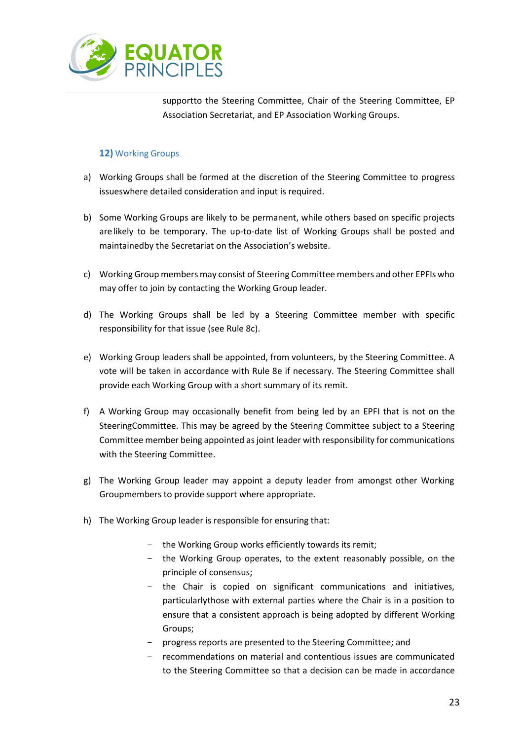

supportto the Steering Committee, Chair of the Steering Committee, EP Association Secretariat, and EP Association Working Groups.

## **12)** Working Groups

- <span id="page-22-0"></span>a) Working Groups shall be formed at the discretion of the Steering Committee to progress issueswhere detailed consideration and input is required.
- b) Some Working Groups are likely to be permanent, while others based on specific projects arelikely to be temporary. The up-to-date list of Working Groups shall be posted and maintainedby the Secretariat on the Association's website.
- c) Working Group members may consist of Steering Committee members and other EPFIs who may offer to join by contacting the Working Group leader.
- d) The Working Groups shall be led by a Steering Committee member with specific responsibility for that issue (see Rule 8c).
- e) Working Group leaders shall be appointed, from volunteers, by the Steering Committee. A vote will be taken in accordance with Rule 8e if necessary. The Steering Committee shall provide each Working Group with a short summary of its remit.
- f) A Working Group may occasionally benefit from being led by an EPFI that is not on the SteeringCommittee. This may be agreed by the Steering Committee subject to a Steering Committee member being appointed as joint leader with responsibility for communications with the Steering Committee.
- g) The Working Group leader may appoint a deputy leader from amongst other Working Groupmembers to provide support where appropriate.
- h) The Working Group leader is responsible for ensuring that:
	- the Working Group works efficiently towards its remit;
	- the Working Group operates, to the extent reasonably possible, on the principle of consensus;
	- the Chair is copied on significant communications and initiatives, particularlythose with external parties where the Chair is in a position to ensure that a consistent approach is being adopted by different Working Groups;
	- progress reports are presented to the Steering Committee; and
	- recommendations on material and contentious issues are communicated to the Steering Committee so that a decision can be made in accordance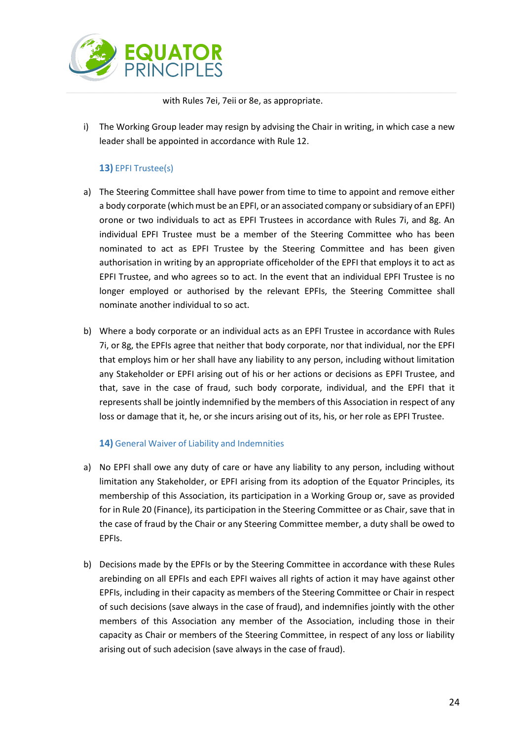

with Rules 7ei, 7eii or 8e, as appropriate.

i) The Working Group leader may resign by advising the Chair in writing, in which case a new leader shall be appointed in accordance with Rule 12.

## **13)** EPFI Trustee(s)

- <span id="page-23-0"></span>a) The Steering Committee shall have power from time to time to appoint and remove either a body corporate (which must be an EPFI, or an associated company or subsidiary of an EPFI) orone or two individuals to act as EPFI Trustees in accordance with Rules 7i, and 8g. An individual EPFI Trustee must be a member of the Steering Committee who has been nominated to act as EPFI Trustee by the Steering Committee and has been given authorisation in writing by an appropriate officeholder of the EPFI that employs it to act as EPFI Trustee, and who agrees so to act. In the event that an individual EPFI Trustee is no longer employed or authorised by the relevant EPFIs, the Steering Committee shall nominate another individual to so act.
- b) Where a body corporate or an individual acts as an EPFI Trustee in accordance with Rules 7i, or 8g, the EPFIs agree that neither that body corporate, nor that individual, nor the EPFI that employs him or her shall have any liability to any person, including without limitation any Stakeholder or EPFI arising out of his or her actions or decisions as EPFI Trustee, and that, save in the case of fraud, such body corporate, individual, and the EPFI that it represents shall be jointly indemnified by the members of this Association in respect of any loss or damage that it, he, or she incurs arising out of its, his, or her role as EPFI Trustee.

## **14)** General Waiver of Liability and Indemnities

- <span id="page-23-1"></span>a) No EPFI shall owe any duty of care or have any liability to any person, including without limitation any Stakeholder, or EPFI arising from its adoption of the Equator Principles, its membership of this Association, its participation in a Working Group or, save as provided for in Rule 20 (Finance), its participation in the Steering Committee or as Chair, save that in the case of fraud by the Chair or any Steering Committee member, a duty shall be owed to EPFIs.
- b) Decisions made by the EPFIs or by the Steering Committee in accordance with these Rules arebinding on all EPFIs and each EPFI waives all rights of action it may have against other EPFIs, including in their capacity as members of the Steering Committee or Chair in respect of such decisions (save always in the case of fraud), and indemnifies jointly with the other members of this Association any member of the Association, including those in their capacity as Chair or members of the Steering Committee, in respect of any loss or liability arising out of such adecision (save always in the case of fraud).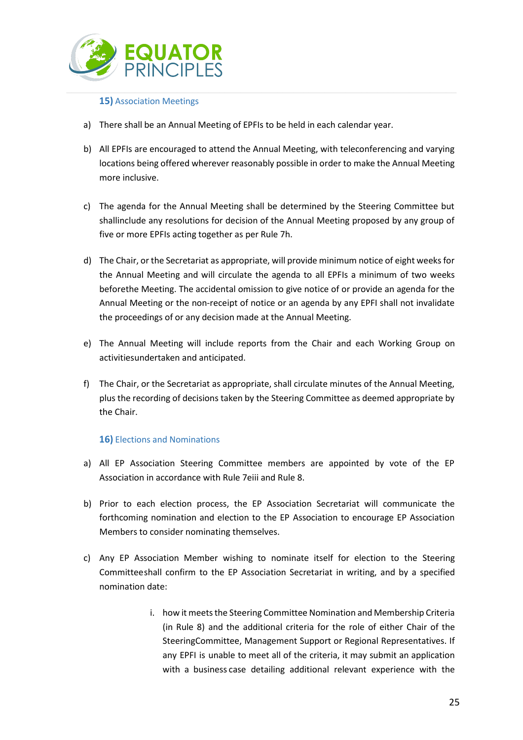

## **15)** Association Meetings

- <span id="page-24-0"></span>a) There shall be an Annual Meeting of EPFIs to be held in each calendar year.
- b) All EPFIs are encouraged to attend the Annual Meeting, with teleconferencing and varying locations being offered wherever reasonably possible in order to make the Annual Meeting more inclusive.
- c) The agenda for the Annual Meeting shall be determined by the Steering Committee but shallinclude any resolutions for decision of the Annual Meeting proposed by any group of five or more EPFIs acting together as per Rule 7h.
- d) The Chair, or the Secretariat as appropriate, will provide minimum notice of eight weeks for the Annual Meeting and will circulate the agenda to all EPFIs a minimum of two weeks beforethe Meeting. The accidental omission to give notice of or provide an agenda for the Annual Meeting or the non-receipt of notice or an agenda by any EPFI shall not invalidate the proceedings of or any decision made at the Annual Meeting.
- e) The Annual Meeting will include reports from the Chair and each Working Group on activitiesundertaken and anticipated.
- f) The Chair, or the Secretariat as appropriate, shall circulate minutes of the Annual Meeting, plus the recording of decisions taken by the Steering Committee as deemed appropriate by the Chair.

## **16)** Elections and Nominations

- <span id="page-24-1"></span>a) All EP Association Steering Committee members are appointed by vote of the EP Association in accordance with Rule 7eiii and Rule 8.
- b) Prior to each election process, the EP Association Secretariat will communicate the forthcoming nomination and election to the EP Association to encourage EP Association Members to consider nominating themselves.
- c) Any EP Association Member wishing to nominate itself for election to the Steering Committeeshall confirm to the EP Association Secretariat in writing, and by a specified nomination date:
	- i. how it meets the Steering Committee Nomination and Membership Criteria (in Rule 8) and the additional criteria for the role of either Chair of the SteeringCommittee, Management Support or Regional Representatives. If any EPFI is unable to meet all of the criteria, it may submit an application with a business case detailing additional relevant experience with the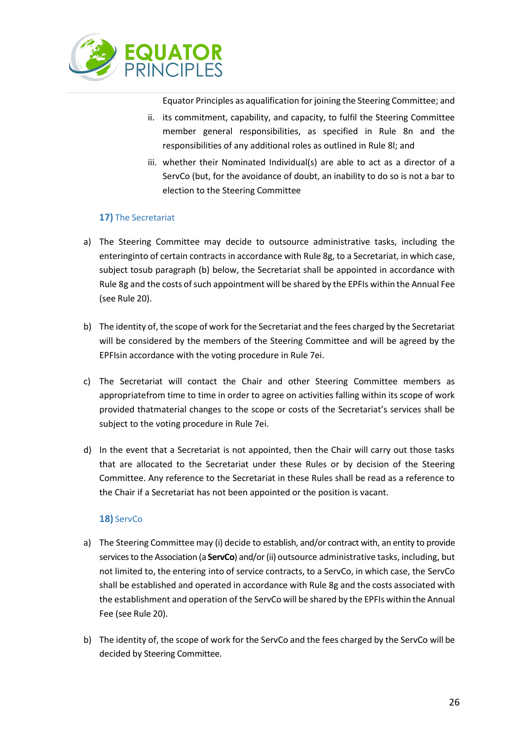

Equator Principles as aqualification for joining the Steering Committee; and

- ii. its commitment, capability, and capacity, to fulfil the Steering Committee member general responsibilities, as specified in Rule 8n and the responsibilities of any additional roles as outlined in Rule 8l; and
- iii. whether their Nominated Individual(s) are able to act as a director of a ServCo (but, for the avoidance of doubt, an inability to do so is not a bar to election to the Steering Committee

## **17)** The Secretariat

- <span id="page-25-0"></span>a) The Steering Committee may decide to outsource administrative tasks, including the enteringinto of certain contracts in accordance with Rule 8g, to a Secretariat, in which case, subject tosub paragraph (b) below, the Secretariat shall be appointed in accordance with Rule 8g and the costs of such appointment will be shared by the EPFIs within the Annual Fee (see Rule 20).
- b) The identity of, the scope of work for the Secretariat and the fees charged by the Secretariat will be considered by the members of the Steering Committee and will be agreed by the EPFIsin accordance with the voting procedure in Rule 7ei.
- c) The Secretariat will contact the Chair and other Steering Committee members as appropriatefrom time to time in order to agree on activities falling within its scope of work provided thatmaterial changes to the scope or costs of the Secretariat's services shall be subject to the voting procedure in Rule 7ei.
- d) In the event that a Secretariat is not appointed, then the Chair will carry out those tasks that are allocated to the Secretariat under these Rules or by decision of the Steering Committee. Any reference to the Secretariat in these Rules shall be read as a reference to the Chair if a Secretariat has not been appointed or the position is vacant.

## **18)** ServCo

- <span id="page-25-1"></span>a) The Steering Committee may (i) decide to establish, and/or contract with, an entity to provide services to the Association (a **ServCo**) and/or (ii) outsource administrative tasks, including, but not limited to, the entering into of service contracts, to a ServCo, in which case, the ServCo shall be established and operated in accordance with Rule 8g and the costs associated with the establishment and operation of the ServCo will be shared by the EPFIs within the Annual Fee (see Rule 20).
- b) The identity of, the scope of work for the ServCo and the fees charged by the ServCo will be decided by Steering Committee.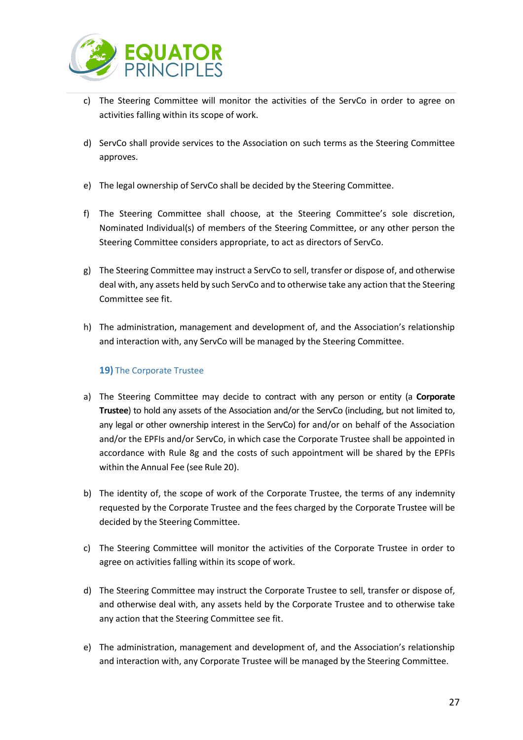

- c) The Steering Committee will monitor the activities of the ServCo in order to agree on activities falling within its scope of work.
- d) ServCo shall provide services to the Association on such terms as the Steering Committee approves.
- e) The legal ownership of ServCo shall be decided by the Steering Committee.
- f) The Steering Committee shall choose, at the Steering Committee's sole discretion, Nominated Individual(s) of members of the Steering Committee, or any other person the Steering Committee considers appropriate, to act as directors of ServCo.
- g) The Steering Committee may instruct a ServCo to sell, transfer or dispose of, and otherwise deal with, any assets held by such ServCo and to otherwise take any action that the Steering Committee see fit.
- h) The administration, management and development of, and the Association's relationship and interaction with, any ServCo will be managed by the Steering Committee.

## **19)** The Corporate Trustee

- <span id="page-26-0"></span>a) The Steering Committee may decide to contract with any person or entity (a **Corporate Trustee**) to hold any assets of the Association and/or the ServCo (including, but not limited to, any legal or other ownership interest in the ServCo) for and/or on behalf of the Association and/or the EPFIs and/or ServCo, in which case the Corporate Trustee shall be appointed in accordance with Rule 8g and the costs of such appointment will be shared by the EPFIs within the Annual Fee (see Rule 20).
- b) The identity of, the scope of work of the Corporate Trustee, the terms of any indemnity requested by the Corporate Trustee and the fees charged by the Corporate Trustee will be decided by the Steering Committee.
- c) The Steering Committee will monitor the activities of the Corporate Trustee in order to agree on activities falling within its scope of work.
- d) The Steering Committee may instruct the Corporate Trustee to sell, transfer or dispose of, and otherwise deal with, any assets held by the Corporate Trustee and to otherwise take any action that the Steering Committee see fit.
- e) The administration, management and development of, and the Association's relationship and interaction with, any Corporate Trustee will be managed by the Steering Committee.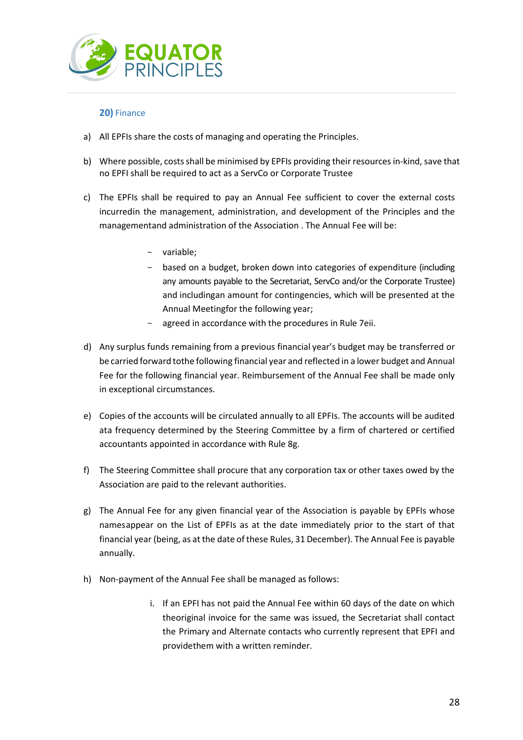

## **20)** Finance

- <span id="page-27-0"></span>a) All EPFIs share the costs of managing and operating the Principles.
- b) Where possible, costs shall be minimised by EPFIs providing their resources in-kind, save that no EPFI shall be required to act as a ServCo or Corporate Trustee
- c) The EPFIs shall be required to pay an Annual Fee sufficient to cover the external costs incurredin the management, administration, and development of the Principles and the managementand administration of the Association . The Annual Fee will be:
	- variable;
	- based on a budget, broken down into categories of expenditure (including any amounts payable to the Secretariat, ServCo and/or the Corporate Trustee) and includingan amount for contingencies, which will be presented at the Annual Meetingfor the following year;
	- agreed in accordance with the procedures in Rule 7eii.
- d) Any surplus funds remaining from a previous financial year's budget may be transferred or be carried forward tothe following financial year and reflected in a lower budget and Annual Fee for the following financial year. Reimbursement of the Annual Fee shall be made only in exceptional circumstances.
- e) Copies of the accounts will be circulated annually to all EPFIs. The accounts will be audited ata frequency determined by the Steering Committee by a firm of chartered or certified accountants appointed in accordance with Rule 8g.
- f) The Steering Committee shall procure that any corporation tax or other taxes owed by the Association are paid to the relevant authorities.
- g) The Annual Fee for any given financial year of the Association is payable by EPFIs whose namesappear on the List of EPFIs as at the date immediately prior to the start of that financial year (being, as at the date of these Rules, 31 December). The Annual Fee is payable annually.
- h) Non-payment of the Annual Fee shall be managed as follows:
	- i. If an EPFI has not paid the Annual Fee within 60 days of the date on which theoriginal invoice for the same was issued, the Secretariat shall contact the Primary and Alternate contacts who currently represent that EPFI and providethem with a written reminder.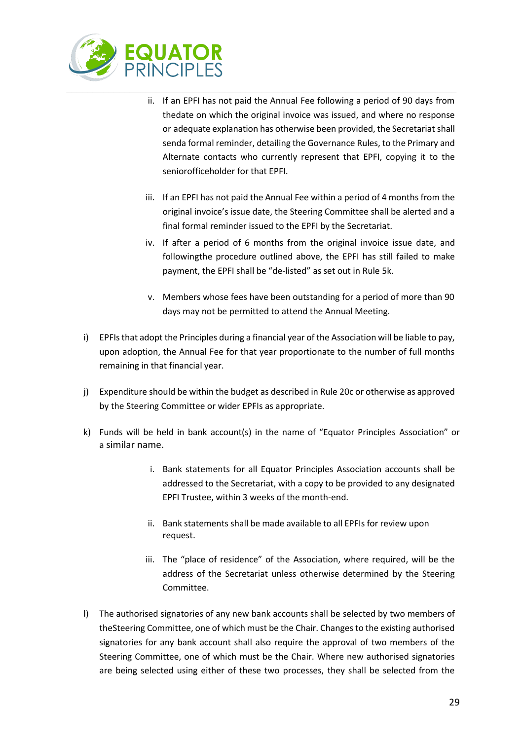

- ii. If an EPFI has not paid the Annual Fee following a period of 90 days from thedate on which the original invoice was issued, and where no response or adequate explanation has otherwise been provided, the Secretariat shall senda formal reminder, detailing the Governance Rules, to the Primary and Alternate contacts who currently represent that EPFI, copying it to the seniorofficeholder for that EPFI.
- iii. If an EPFI has not paid the Annual Fee within a period of 4 months from the original invoice's issue date, the Steering Committee shall be alerted and a final formal reminder issued to the EPFI by the Secretariat.
- iv. If after a period of 6 months from the original invoice issue date, and followingthe procedure outlined above, the EPFI has still failed to make payment, the EPFI shall be "de-listed" as set out in Rule 5k.
- v. Members whose fees have been outstanding for a period of more than 90 days may not be permitted to attend the Annual Meeting.
- i) EPFIs that adopt the Principles during a financial year of the Association will be liable to pay, upon adoption, the Annual Fee for that year proportionate to the number of full months remaining in that financial year.
- j) Expenditure should be within the budget as described in Rule 20c or otherwise as approved by the Steering Committee or wider EPFIs as appropriate.
- k) Funds will be held in bank account(s) in the name of "Equator Principles Association" or a similar name.
	- i. Bank statements for all Equator Principles Association accounts shall be addressed to the Secretariat, with a copy to be provided to any designated EPFI Trustee, within 3 weeks of the month-end.
	- ii. Bank statements shall be made available to all EPFIs for review upon request.
	- iii. The "place of residence" of the Association, where required, will be the address of the Secretariat unless otherwise determined by the Steering Committee.
- l) The authorised signatories of any new bank accounts shall be selected by two members of theSteering Committee, one of which must be the Chair. Changes to the existing authorised signatories for any bank account shall also require the approval of two members of the Steering Committee, one of which must be the Chair. Where new authorised signatories are being selected using either of these two processes, they shall be selected from the